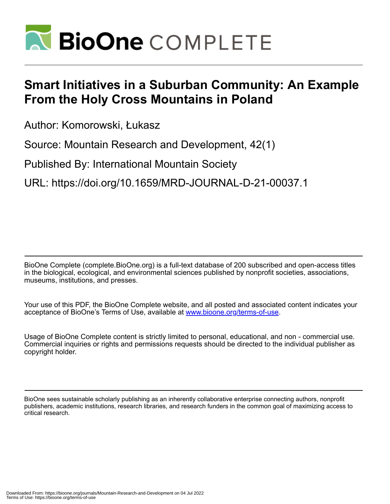

# **Smart Initiatives in a Suburban Community: An Example From the Holy Cross Mountains in Poland**

Author: Komorowski, Łukasz

Source: Mountain Research and Development, 42(1)

Published By: International Mountain Society

URL: https://doi.org/10.1659/MRD-JOURNAL-D-21-00037.1

BioOne Complete (complete.BioOne.org) is a full-text database of 200 subscribed and open-access titles in the biological, ecological, and environmental sciences published by nonprofit societies, associations, museums, institutions, and presses.

Your use of this PDF, the BioOne Complete website, and all posted and associated content indicates your acceptance of BioOne's Terms of Use, available at www.bioone.org/terms-of-use.

Usage of BioOne Complete content is strictly limited to personal, educational, and non - commercial use. Commercial inquiries or rights and permissions requests should be directed to the individual publisher as copyright holder.

BioOne sees sustainable scholarly publishing as an inherently collaborative enterprise connecting authors, nonprofit publishers, academic institutions, research libraries, and research funders in the common goal of maximizing access to critical research.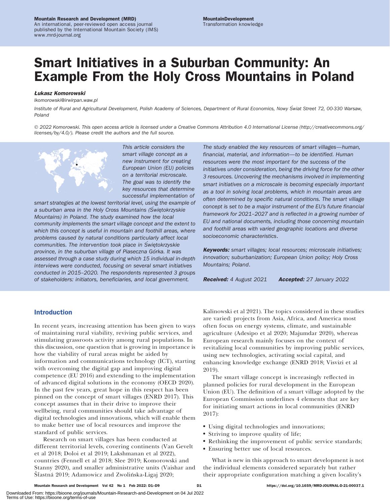# Mountain Research and Development (MRD)

An international, peer-reviewed open access journal published by the International Mountain Society (IMS) www.mrd-journal.org

# Smart Initiatives in a Suburban Community: An Example From the Holy Cross Mountains in Poland

# Łukasz Komorowski

[lkomorowski@irwirpan.waw.pl](mailto:lkomorowski@irwirpan.waw.pl)

Institute of Rural and Agricultural Development, Polish Academy of Sciences, Department of Rural Economics, Nowy Świat Street 72, 00-330 Warsaw, Poland

- 2022 Komorowski. This open access article is licensed under a Creative Commons Attribution 4.0 International License ([http://creativecommons.org/](http://creativecommons.org/licenses/by/4.0/) [licenses/by/4.0/](http://creativecommons.org/licenses/by/4.0/)). Please credit the authors and the full source.



This article considers the smart village concept as a new instrument for creating European Union (EU) policies on a territorial microscale. The goal was to identify the key resources that determine successful implementation of

smart strategies at the lowest territorial level, using the example of a suburban area in the Holy Cross Mountains (Swiętokrzyskie Mountains) in Poland. The study examined how the local community implements the smart village concept and the extent to which this concept is useful in mountain and foothill areas, where problems caused by natural conditions particularly affect local communities. The intervention took place in Swiętokrzyskie province, in the suburban village of Piaseczna Górka. It was assessed through a case study during which 15 individual in-depth interviews were conducted, focusing on several smart initiatives conducted in 2015–2020. The respondents represented 3 groups of stakeholders: initiators, beneficiaries, and local government.

The study enabled the key resources of smart villages—human, financial, material, and information—to be identified. Human resources were the most important for the success of the initiatives under consideration, being the driving force for the other 3 resources. Uncovering the mechanisms involved in implementing smart initiatives on a microscale is becoming especially important as a tool in solving local problems, which in mountain areas are often determined by specific natural conditions. The smart village concept is set to be a major instrument of the EU's future financial framework for 2021–2027 and is reflected in a growing number of EU and national documents, including those concerning mountain and foothill areas with varied geographic locations and diverse socioeconomic characteristics.

Keywords: smart villages; local resources; microscale initiatives; innovation; suburbanization; European Union policy; Holy Cross Mountains; Poland.

Received: 4 August 2021 Accepted: 27 January 2022

# Introduction

In recent years, increasing attention has been given to ways of maintaining rural viability, reviving public services, and stimulating grassroots activity among rural populations. In this discussion, one question that is growing in importance is how the viability of rural areas might be aided by information and communications technology (ICT), starting with overcoming the digital gap and improving digital competence (EU 2016) and extending to the implementation of advanced digital solutions in the economy (OECD 2020). In the past few years, great hope in this respect has been pinned on the concept of smart villages (ENRD 2017). This concept assumes that in their drive to improve their wellbeing, rural communities should take advantage of digital technologies and innovations, which will enable them to make better use of local resources and improve the standard of public services.

Research on smart villages has been conducted at different territorial levels, covering continents (Van Gevelt et al 2018; Doloi et al 2019; Lakshmanan et al 2022), countries (Fennell et al 2018; Slee 2019; Komorowski and Stanny 2020), and smaller administrative units (Vaishar and Sťastná 2019; Adamowicz and Zwolińska-Ligaj 2020;

Kalinowski et al 2021). The topics considered in these studies are varied: projects from Asia, Africa, and America most often focus on energy systems, climate, and sustainable agriculture (Adesipo et al 2020; Majumdar 2020), whereas European research mainly focuses on the context of revitalizing local communities by improving public services, using new technologies, activating social capital, and enhancing knowledge exchange (ENRD 2018; Visvizi et al 2019).

The smart village concept is increasingly reflected in planned policies for rural development in the European Union (EU). The definition of a smart village adopted by the European Commission underlines 4 elements that are key for initiating smart actions in local communities (ENRD 2017):

- Using digital technologies and innovations;
- Striving to improve quality of life;
- Rethinking the improvement of public service standards;
- Ensuring better use of local resources.

What is new in this approach to smart development is not the individual elements considered separately but rather their appropriate configuration matching a given locality's

Downloaded From: https://bioone.org/journals/Mountain-Research-and-Development on 04 Jul 2022 Terms of Use: https://bioone.org/terms-of-use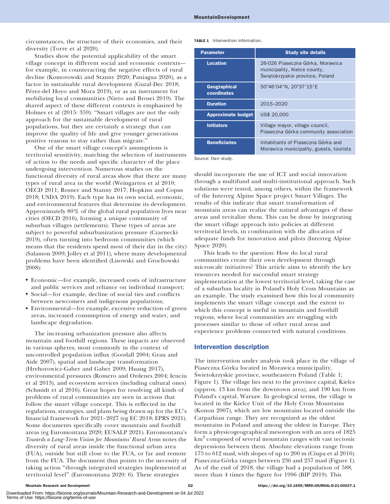circumstances, the structure of their economies, and their diversity (Torre et al 2020).

Studies show the potential applicability of the smart village concept in different social and economic contexts for example, in counteracting the negative effects of rural decline (Komorowski and Stanny 2020; Paniagua 2020), as a factor in sustainable rural development (Guzal-Dec 2018; Pérez-del Hoyo and Mora 2019), or as an instrument for mobilizing local communities (Nieto and Brosei 2019). The shared aspect of these different contexts is emphasized by Holmes et al (2015: 359): ''Smart villages are not the only approach for the sustainable development of rural populations, but they are certainly a strategy that can improve the quality of life and give younger generations positive reasons to stay rather than migrate.''

One of the smart village concept's assumptions is territorial sensitivity, matching the selection of instruments of action to the needs and specific character of the place undergoing intervention. Numerous studies on the functional diversity of rural areas show that there are many types of rural area in the world (Weingarten et al 2010; OECD 2011; Rosner and Stanny 2017; Hopkins and Copus 2018; USDA 2019). Each type has its own social, economic, and environmental features that determine its development. Approximately 80% of the global rural population lives near cities (OECD 2016), forming a unique community of suburban villages (settlements). These types of areas are subject to powerful suburbanization pressure (Czarnecki 2019), often turning into bedroom communities (which means that the residents spend most of their day in the city) (Salamon 2009; Jolley et al 2011), where many developmental problems have been identified (Lisowski and Grochowski 2008):

- Economic—for example, increased costs of infrastructure and public services and reliance on individual transport;
- Social—for example, decline of social ties and conflicts between newcomers and indigenous populations;
- Environmental—for example, excessive reduction of green areas, increased consumption of energy and water, and landscape degradation.

The increasing urbanization pressure also affects mountain and foothill regions. These impacts are observed in various spheres, most commonly in the context of uncontrolled population influx (Goodall 2004; Grau and Aide 2007), spatial and landscape transformation (Hrehorowicz-Gaber and Gaber 2009; Huang 2017), environmental pressures (Romero and Ordenes 2004; Ienciu et al 2013), and ecosystem services (including cultural ones) (Schmidt et al 2016). Great hopes for resolving all kinds of problems of rural communities are seen in actions that follow the smart village concept. This is reflected in the regulations, strategies, and plans being drawn up for the EU's financial framework for 2021–2027 (eg EC 2018; EPRS 2021). Some documents specifically cover mountain and foothill areas (eg Euromontana 2020; EUSALP 2021). Euromontana's Towards a Long-Term Vision for Mountains' Rural Areas notes the diversity of rural areas inside the functional urban area (FUA), outside but still close to the FUA, or far and remote from the FUA. The document thus points to the necessity of taking action ''through integrated strategies implemented at territorial level'' (Euromontana 2020: 6). These strategies

TABLE 1 Intervention information.

| <b>Parameter</b>                   | <b>Study site details</b>                                                                           |  |  |  |
|------------------------------------|-----------------------------------------------------------------------------------------------------|--|--|--|
| <b>Location</b>                    | 26-026 Piaseczna Górka, Morawica<br>municipality, Kielce county,<br>Świętokrzyskie province, Poland |  |  |  |
| <b>Geographical</b><br>coordinates | 50°46′04″N, 20°37′15″E                                                                              |  |  |  |
| <b>Duration</b>                    | 2015-2020                                                                                           |  |  |  |
| <b>Approximate budget</b>          | US\$ 20,000                                                                                         |  |  |  |
| <b>Initiators</b>                  | Village mayor, village council,<br>Piaseczna Górka community association                            |  |  |  |
| <b>Beneficiaries</b>               | Inhabitants of Piaseczna Górka and<br>Morawica municipality, guests, tourists                       |  |  |  |

Source: Own study.

should incorporate the use of ICT and social innovation through a multifund and multi-institutional approach. Such solutions were tested, among others, within the framework of the Interreg Alpine Space project Smart Villages. The results of this indicate that smart transformation of mountain areas can realize the natural advantages of these areas and revitalize them. This can be done by integrating the smart village approach into policies at different territorial levels, in combination with the allocation of adequate funds for innovation and pilots (Interreg Alpine Space 2020).

This leads to the question: How do local rural communities create their own development through microscale initiatives? This article aims to identify the key resources needed for successful smart strategy implementation at the lowest territorial level, taking the case of a suburban locality in Poland's Holy Cross Mountains as an example. The study examined how this local community implements the smart village concept and the extent to which this concept is useful in mountain and foothill regions, where local communities are struggling with processes similar to those of other rural areas and experience problems connected with natural conditions.

# Intervention description

The intervention under analysis took place in the village of Piaseczna Górka located in Morawica municipality, Świetokrzyskie province, southeastern Poland (Table 1; Figure 1). The village lies next to the province capital, Kielce (approx. 13 km from the downtown area), and 190 km from Poland's capital, Warsaw. In geological terms, the village is located in the Kielce Unit of the Holy Cross Mountains (Konon 2007), which are low mountains located outside the Carpathian range. They are recognized as the oldest mountains in Poland and among the oldest in Europe. They form a physicogeographical mesoregion with an area of 1825 km<sup>2</sup> composed of several mountain ranges with vast tectonic depressions between them. Absolute elevations range from 175 to 612 masl, with slopes of up to 200 m (Ciupa et al 2016). Piaseczna Górka ranges between 236 and 257 masl (Figure 1). As of the end of 2018, the village had a population of 588, more than 4 times the figure for 1996 (BIP 2019). This

Downloaded From: https://bioone.org/journals/Mountain-Research-and-Development on 04 Jul 2022 Terms of Use: https://bioone.org/terms-of-use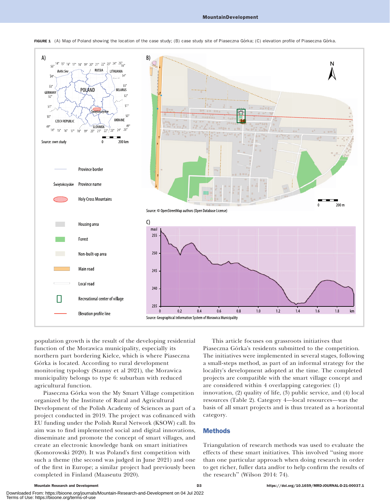

FIGURE 1 (A) Map of Poland showing the location of the case study; (B) case study site of Piaseczna Górka; (C) elevation profile of Piaseczna Górka.

population growth is the result of the developing residential function of the Morawica municipality, especially its northern part bordering Kielce, which is where Piaseczna Górka is located. According to rural development monitoring typology (Stanny et al 2021), the Morawica municipality belongs to type 6: suburban with reduced agricultural function.

Piaseczna Górka won the My Smart Village competition organized by the Institute of Rural and Agricultural Development of the Polish Academy of Sciences as part of a project conducted in 2019. The project was cofinanced with EU funding under the Polish Rural Network (KSOW) call. Its aim was to find implemented social and digital innovations, disseminate and promote the concept of smart villages, and create an electronic knowledge bank on smart initiatives (Komorowski 2020). It was Poland's first competition with such a theme (the second was judged in June 2021) and one of the first in Europe; a similar project had previously been completed in Finland (Maaseutu 2020).

This article focuses on grassroots initiatives that Piaseczna Górka's residents submitted to the competition. The initiatives were implemented in several stages, following a small-steps method, as part of an informal strategy for the locality's development adopted at the time. The completed projects are compatible with the smart village concept and are considered within 4 overlapping categories: (1) innovation, (2) quality of life, (3) public service, and (4) local resources (Table 2). Category 4—local resources—was the basis of all smart projects and is thus treated as a horizontal category.

# **Methods**

Triangulation of research methods was used to evaluate the effects of these smart initiatives. This involved ''using more than one particular approach when doing research in order to get richer, fuller data and/or to help confirm the results of the research'' (Wilson 2014: 74).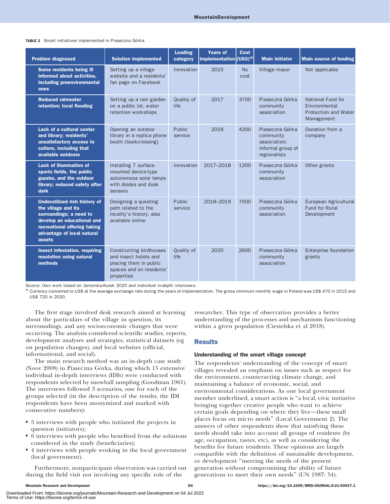| <b>Problem diagnosed</b>                                                                                                                                                                     | <b>Solution implemented</b>                                                                                                 | <b>Leading</b><br>category | <b>Years of</b><br>implementation (US\$) <sup>a)</sup> | <b>Cost</b>       | <b>Main initiator</b>                                                             | <b>Main source of funding</b>                                            |
|----------------------------------------------------------------------------------------------------------------------------------------------------------------------------------------------|-----------------------------------------------------------------------------------------------------------------------------|----------------------------|--------------------------------------------------------|-------------------|-----------------------------------------------------------------------------------|--------------------------------------------------------------------------|
| Some residents being ill<br>informed about activities.<br>including proenvironmental<br>ones                                                                                                 | Setting up a village<br>website and a residents'<br>fan page on Facebook                                                    | Innovation                 | 2015                                                   | <b>No</b><br>cost | Village mayor                                                                     | Not applicable                                                           |
| <b>Reduced rainwater</b><br>retention; local flooding                                                                                                                                        | Setting up a rain garden<br>on a public lot, water<br>retention workshops                                                   | Quality of<br>life         | 2017                                                   | 3700              | Piaseczna Górka<br>community<br>association                                       | National Fund for<br>Environmental<br>Protection and Water<br>Management |
| Lack of a cultural center<br>and library; residents'<br>unsatisfactory access to<br>culture, including that<br>available outdoors                                                            | Opening an outdoor<br>library in a replica phone<br>booth (bookcrossing)                                                    | Public<br>service          | 2018                                                   | 4200              | Piaseczna Górka<br>community<br>association;<br>informal group of<br>regionalists | Donation from a<br>company                                               |
| <b>Lack of illumination of</b><br>sports fields, the public<br>gazebo, and the outdoor<br>library; reduced safety after<br>dark                                                              | Installing 7 surface-<br>mounted device-type<br>autonomous solar lamps<br>with diodes and dusk<br>sensors                   | Innovation                 | 2017-2018                                              | 1200              | Piaseczna Górka<br>community<br>association                                       | Other grants                                                             |
| <b>Underutilized rich history of</b><br>the village and its<br>surroundings; a need to<br>develop an educational and<br>recreational offering taking<br>advantage of local natural<br>assets | Designing a questing<br>path related to the<br>locality's history, also<br>available online                                 | <b>Public</b><br>service   | 2018-2019                                              | 7000              | Piaseczna Górka<br>community<br>association                                       | European Agricultural<br><b>Fund for Rural</b><br>Development            |
| Insect infestation, requiring<br>resolution using natural<br>methods                                                                                                                         | <b>Constructing birdhouses</b><br>and insect hotels and<br>placing them in public<br>spaces and on residents'<br>properties | Quality of<br>life         | 2020                                                   | 2600              | Piaseczna Górka<br>community<br>association                                       | <b>Enterprise foundation</b><br>grants                                   |

Source: Own work based on Jamorska-Kurek 2020 and individual in-depth interviews.

a) Currency converted to US\$ at the average exchange rate during the years of implementation. The gross minimum monthly wage in Poland was US\$ 470 in 2015 and US\$ 720 in 2020.

The first stage involved desk research aimed at learning about the particulars of the village in question, its surroundings, and any socioeconomic changes that were occurring. The analysis considered scientific studies, reports, development analyses and strategies, statistical datasets (eg on population changes), and local websites (official, informational, and social).

The main research method was an in-depth case study (Noor 2008) in Piaseczna Górka, during which 15 extensive individual in-depth interviews (IDIs) were conducted with respondents selected by snowball sampling (Goodman 1961). The interviews followed 3 scenarios, one for each of the groups selected (in the description of the results, the IDI respondents have been anonymized and marked with consecutive numbers):

- 5 interviews with people who initiated the projects in question (initiators);
- 6 interviews with people who benefited from the solutions considered in the study (beneficiaries);
- 4 interviews with people working in the local government (local government).

Furthermore, nonparticipant observation was carried out during the field visit not involving any specific role of the

researcher. This type of observation provides a better understanding of the processes and mechanisms functioning within a given population (Ciesielska et al 2018).

# Results

# Understanding of the smart village concept

The respondents' understanding of the concept of smart villages revealed an emphasis on issues such as respect for the environment, counteracting climate change, and maintaining a balance of economic, social, and environmental considerations. As one local government member underlined, a smart action is ''a local, civic initiative bringing together creative people who want to achieve certain goals depending on where they live—these small places focus on micro needs'' (Local Government 2). The answers of other respondents show that satisfying these needs should take into account all groups of residents (by age, occupation, tastes, etc), as well as considering the benefits for future residents. These opinions are largely compatible with the definition of sustainable development, or development ''meeting the needs of the present generation without compromising the ability of future generations to meet their own needs'' (UN 1987: 54).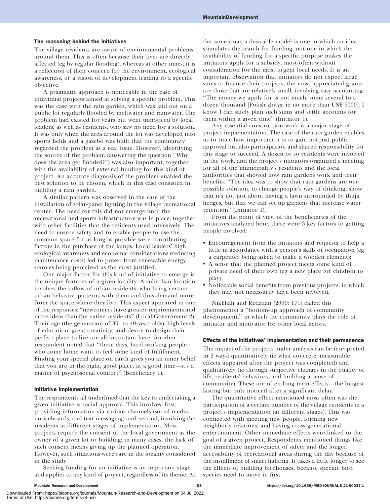#### The reasoning behind the initiatives

The village residents are aware of environmental problems around them. This is often because their lives are directly affected (eg by regular flooding), whereas at other times, it is a reflection of their concern for the environment, ecological awareness, or a vision of development leading to a specific objective.

A pragmatic approach is noticeable in the case of individual projects aimed at solving a specific problem. This was the case with the rain garden, which was laid out on a public lot regularly flooded by meltwater and rainwater. The problem had existed for years but went unnoticed by local leaders, as well as residents, who saw no need for a solution. It was only when the area around the lot was developed into sports fields and a gazebo was built that the community regarded the problem as a real issue. However, identifying the source of the problem (answering the question ''Why does the area get flooded?'') was also important, together with the availability of external funding for this kind of project. An accurate diagnosis of the problem enabled the best solution to be chosen, which in this case consisted in building a rain garden.

A similar pattern was observed in the case of the installation of solar-panel lighting in the village recreational center. The need for this did not emerge until the recreational and sports infrastructure was in place, together with other facilities that the residents used intensively. The need to ensure safety and to enable people to use the common space for as long as possible were contributing factors in the purchase of the lamps. Local leaders' high ecological awareness and economic considerations (reducing maintenance costs) led to power from renewable energy sources being perceived as the most justified.

One major factor for this kind of initiative to emerge is the unique features of a given locality. A suburban location involves the inflow of urban residents, who bring certain urban behavior patterns with them and thus demand more from the space where they live. This aspect appeared in one of the responses: ''newcomers have greater requirements and more ideas than the native residents'' (Local Government 2). Their age (the generation of 30- to 40-year-olds), high levels of education, great creativity, and desire to design their perfect place to live are all important here. Another respondent noted that ''these days, hard-working people who come home want to feel some kind of fulfillment. Finding your special place on earth gives you an inner belief that you are in the right, good place, at a good time—it's a matter of psychosocial comfort'' (Beneficiary 1).

### Initiative implementation

The respondents all underlined that the key to undertaking a given initiative is social approval. This involves, first, providing information via various channels (social media, noticeboards, and text messaging) and, second, involving the residents at different stages of implementation. Most projects require the consent of the local government as the owner of a given lot or building; in many cases, the lack of such consent means giving up the planned operation. However, such situations were rare in the locality considered in the study.

Seeking funding for an initiative is an important stage and applies to any kind of project, regardless of its theme. At the same time, a desirable model is one in which an idea stimulates the search for funding, not one in which the availability of funding for a specific purpose makes the initiators apply for a subsidy, most often without consideration for the most urgent local needs. It is an important observation that initiators do not expect large sums to finance their projects; the most appreciated grants are those that are relatively small, involving easy accounting: ''The money we apply for is not much, some several to a dozen thousand [Polish zlotys; ie no more than US\$ 5000]. I know I can safely plan such sums and settle accounts for them within a given time'' (Initiator 1).

Any essential construction work is a major stage of project implementation. The case of the rain garden enables us to trace how important it is to gain not just public approval but also participation and shared responsibility for this stage to succeed. A dozen or so residents were involved in the work, and the project's initiators organized a meeting for all of the municipality's residents and the local authorities that showed how rain gardens work and their benefits. ''The idea was to show that rain gardens are one possible solution, to change people's way of thinking, show that it's not just about having a lawn surrounded by thuja hedges, but that we can set up gardens that increase water retention'' (Initiator 1).

From the point of view of the beneficiaries of the initiatives analyzed here, there were 3 key factors to getting people involved:

- Encouragement from the initiators and requests to help a little in accordance with a person's skills or occupation (eg a carpenter being asked to make a wooden element);
- A sense that the planned project meets some kind of private need of their own (eg a new place for children to play);
- Noticeable social benefits from previous projects, in which they may not necessarily have been involved.

Nikkhah and Redzuan (2009: 171) called this phenomenon a ''bottom-up approach of community development,'' in which the community plays the role of initiator and motivator for other local actors.

#### Effects of the initiatives' implementation and their permanence

The impact of the projects under analysis can be interpreted in 2 ways: quantitatively (ie what concrete, measurable effects appeared after the project was completed) and qualitatively (ie through subjective changes in the quality of life, residents' behaviors, and building a sense of community). These are often long-term effects—the longest lasting but only noticed after a significant delay.

The quantitative effect mentioned most often was the participation of a certain number of the village residents in a project's implementation (at different stages). This was connected with meeting new people, forming new neighborly relations, and having cross-generational entertainment. Other immediate effects were linked to the goal of a given project. Respondents mentioned things like the immediate improvement of safety and the longer accessibility of recreational areas during the day because of the installment of smart lighting. It takes a little longer to see the effects of building birdhouses, because specific bird species need to move in first.

Downloaded From: https://bioone.org/journals/Mountain-Research-and-Development on 04 Jul 2022 Terms of Use: https://bioone.org/terms-of-use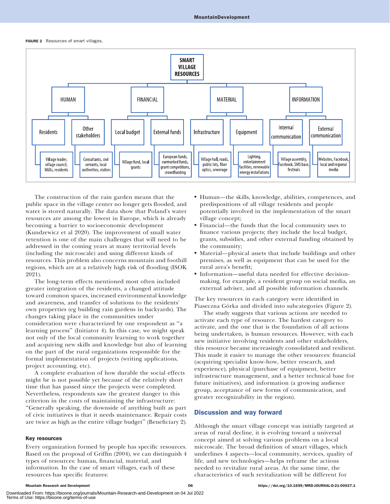#### FIGURE 2 Resources of smart villages.



The construction of the rain garden means that the public space in the village center no longer gets flooded, and water is stored naturally. The data show that Poland's water resources are among the lowest in Europe, which is already becoming a barrier to socioeconomic development (Kundzewicz et al 2020). The improvement of small water retention is one of the main challenges that will need to be addressed in the coming years at many territorial levels (including the microscale) and using different kinds of resources. This problem also concerns mountain and foothill regions, which are at a relatively high risk of flooding (ISOK 2021).

The long-term effects mentioned most often included greater integration of the residents, a changed attitude toward common spaces, increased environmental knowledge and awareness, and transfer of solutions to the residents' own properties (eg building rain gardens in backyards). The changes taking place in the communities under consideration were characterized by one respondent as ''a learning process'' (Initiator 4). In this case, we might speak not only of the local community learning to work together and acquiring new skills and knowledge but also of learning on the part of the rural organizations responsible for the formal implementation of projects (writing applications, project accounting, etc).

A complete evaluation of how durable the social effects might be is not possible yet because of the relatively short time that has passed since the projects were completed. Nevertheless, respondents saw the greatest danger to this criterion in the costs of maintaining the infrastructure: ''Generally speaking, the downside of anything built as part of civic initiatives is that it needs maintenance. Repair costs are twice as high as the entire village budget'' (Beneficiary 2).

#### Key resources

Every organization formed by people has specific resources. Based on the proposal of Griffin (2004), we can distinguish 4 types of resources: human, financial, material, and information. In the case of smart villages, each of these resources has specific features:

- Human—the skills, knowledge, abilities, competences, and predispositions of all village residents and people potentially involved in the implementation of the smart village concept;
- - Financial—the funds that the local community uses to finance various projects; they include the local budget, grants, subsidies, and other external funding obtained by the community;
- - Material—physical assets that include buildings and other premises, as well as equipment that can be used for the rural area's benefit;
- Information—useful data needed for effective decisionmaking, for example, a resident group on social media, an external adviser, and all possible information channels.

The key resources in each category were identified in Piaseczna Górka and divided into subcategories (Figure 2).

The study suggests that various actions are needed to activate each type of resource. The hardest category to activate, and the one that is the foundation of all actions being undertaken, is human resources. However, with each new initiative involving residents and other stakeholders, this resource became increasingly consolidated and resilient. This made it easier to manage the other resources: financial (acquiring specialist know-how, better research, and experience), physical (purchase of equipment, better infrastructure management, and a better technical base for future initiatives), and information (a growing audience group, acceptance of new forms of communication, and greater recognizability in the region).

# Discussion and way forward

Although the smart village concept was initially targeted at areas of rural decline, it is evolving toward a universal concept aimed at solving various problems on a local microscale. The broad definition of smart villages, which underlines 4 aspects—local community, services, quality of life, and new technologies—helps reframe the actions needed to revitalize rural areas. At the same time, the characteristics of such revitalization will be different for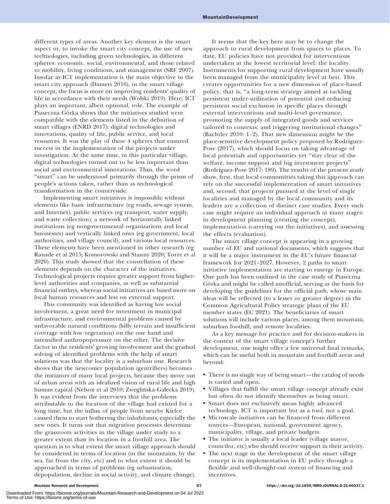different types of areas. Another key element is the smart aspect or, to invoke the smart city concept, the use of new technologies, including green technologies, in different spheres: economic, social, environmental, and those related to mobility, living conditions, and management (SRF 2007). Insofar as ICT implementation is the main objective in the smart city approach (Dameri 2016), in the smart village concept, the focus is more on improving residents' quality of life in accordance with their needs (Wolski 2019). Here, ICT plays an important, albeit optional, role. The example of Piaseczna Górka shows that the initiatives studied were compatible with the elements listed in the definition of smart villages (ENRD 2017): digital technologies and innovations, quality of life, public service, and local resources. It was the play of these 4 spheres that ensured success in the implementation of the projects under investigation. At the same time, in this particular village, digital technologies turned out to be less important than social and environmental innovations. Thus, the word ''smart'' can be understood primarily through the prism of people's actions taken, rather than as technological transformation in the countryside.

Implementing smart initiatives is impossible without elements like basic infrastructure (eg roads, sewage system, and Internet), public services (eg transport, water supply, and waste collection), a network of horizontally linked institutions (eg nongovernmental organizations and local businesses) and vertically linked ones (eg government, local authorities, and village council), and various local resources. These elements have been mentioned in other research (eg Ranade et al 2015; Komorowski and Stanny 2020; Torre et al 2020). This study showed that the constellation of these elements depends on the character of the initiatives. Technological projects require greater support from higherlevel authorities and companies, as well as substantial financial outlays, whereas social initiatives are based more on local human resources and less on external support.

This community was identified as having low social involvement, a great need for investment in municipal infrastructure, and environmental problems caused by unfavorable natural conditions (hilly terrain and insufficient coverage with low vegetation) on the one hand and intensified anthropopressure on the other. The decisive factor in the residents' growing involvement and the gradual solving of identified problems with the help of smart solutions was that the locality is a suburban one. Research shows that the newcomer population (gentrifiers) becomes the initiators of many local projects, because they move out of urban areas with an idealized vision of rural life and high human capital (Nelson et al 2010; Zweglińska-Gałecka 2019). It was evident from the interviews that the problems attributable to the location of the village had existed for a long time, but the influx of people from nearby Kielce caused them to start bothering the inhabitants, especially the new ones. It turns out that migration processes determine the grassroots activities in the village under study to a greater extent than its location in a foothill area. The question is to what extent the smart village approach should be considered in terms of location (in the mountains, by the sea, far from the city, etc) and to what extent it should be approached in terms of problems (eg urbanization, depopulation, decline in social activity, and climate change).

It seems that the key here may be to change the approach to rural development from spaces to places. To date, EU policies have not provided for interventions undertaken at the lowest territorial level: the locality. Instruments for supporting rural development have usually been managed from the municipality level at best. This creates opportunities for a new dimension of place-based policy, that is, ''a long-term strategy aimed at tackling persistent under-utilization of potential and reducing persistent social exclusion in specific places through external interventions and multi-level governance; promoting the supply of integrated goods and services tailored to contexts; and triggering institutional changes'' (Bachtler 2010: 1–2). That new dimension might be the place-sensitive development policy proposed by Rodríguez-Pose (2017), which should focus on taking advantage of local potentials and opportunities yet ''stay clear of the welfare, income support and big investment projects'' (Rodríguez-Pose 2017: 189). The results of the present study show, first, that local communities taking this approach can rely on the successful implementation of smart initiatives and, second, that projects pursued at the level of single localities and managed by the local community and its leaders are a collection of distinct case studies. Every such case might require an individual approach at many stages: in development planning (creating the concept), implementation (carrying out the initiatives), and assessing the effects (evaluation).

The smart village concept is appearing in a growing number of EU and national documents, which suggests that it will be a major instrument in the EU's future financial framework for 2021–2027. However, 2 paths to smart initiative implementation are starting to emerge in Europe. One path has been outlined in the case study of Piaseczna Górka and might be called unofficial, serving as the basis for developing the guidelines for the official path, whose main ideas will be reflected (to a lesser or greater degree) in the Common Agricultural Policy strategic plans of the EU member states (EC 2021). The beneficiaries of smart solutions will include various places, among them mountain, suburban foothill, and remote localities.

As a key message for practice and for decision-makers in the context of the smart village concept's further development, one might offer a few universal final remarks, which can be useful both in mountain and foothill areas and beyond:

- There is no single way of being smart—the catalog of needs is varied and open.
- Villages that fulfill the smart village concept already exist but often do not identify themselves as being smart.
- Smart does not exclusively mean highly advanced technology. ICT is important but as a tool, not a goal.
- Microscale initiatives can be financed from different sources—European, national, government agency, municipality, village, and private budgets.
- The initiator is usually a local leader (village mayor, councilor, etc) who should receive support in their activity.
- The next stage in the development of the smart village concept is its implementation in EU policy through a flexible and well-thought-out system of financing and incentives.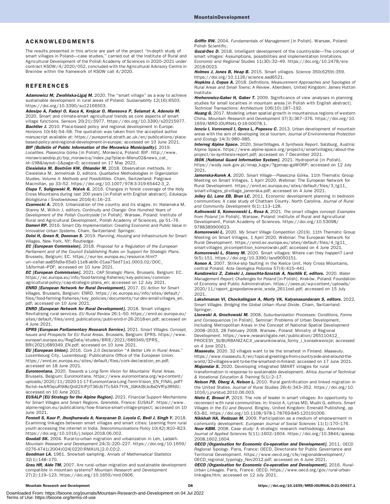#### ACKNOWLEDGMENTS

The results presented in this article are part of the project ''In-depth study of smart villages in Poland-case studies," carried out at the Institute of Rural and Agricultural Development of the Polish Academy of Sciences in 2020–2021 under contract KSOW/4/2020/052, concluded with the Agricultural Advisory Centre in Brwinów within the framework of KSOW call 4/2020.

#### REFERENCES

Adamowicz M, Zwolińska-Ligaj M. 2020. The "smart village" as a way to achieve sustainable development in rural areas of Poland. Sustainability 12(16):6503. <https://doi.org/10.3390/su12166503>.

Adesipo A, Fadeyi O, Kuca K, Krejcar O, Maresova P, Selamat A, Adenola M. 2020. Smart and climate-smart agricultural trends as core aspects of smart village functions. Sensors 20(21):5977. [https://doi.org/10.3390/s20215977.](https://doi.org/10.3390/s20215977) **Bachtler J.** 2010. Place-based policy and regional development in Europe. Horizons 10(44):54–58. The quotation was taken from the accepted author manuscript available at: [https://pureportal.strath.ac.uk/en/publications/place](https://pureportal.strath.ac.uk/en/publications/place-based-policy-and-regional-development-in-europe)[based-policy-and-regional-development-in-europe;](https://pureportal.strath.ac.uk/en/publications/place-based-policy-and-regional-development-in-europe) accessed on 10 June 2021. BIP [Bulletin of Public Information of the Morawica Municipality]. 2019. Localities. Piaseczna Górka [in Polish]. Morawica, Poland: BIP. [http://www.](http://www.morawicaeobip.pl/bip_morawica/index.jsp?place=Menu02&news_cat_id=198&layout=1&page=0)

[morawicaeobip.pl/bip\\_morawica/index.jsp?place](http://www.morawicaeobip.pl/bip_morawica/index.jsp?place=Menu02&news_cat_id=198&layout=1&page=0)=[Menu02&news\\_cat\\_](http://www.morawicaeobip.pl/bip_morawica/index.jsp?place=Menu02&news_cat_id=198&layout=1&page=0) [id](http://www.morawicaeobip.pl/bip_morawica/index.jsp?place=Menu02&news_cat_id=198&layout=1&page=0)=[198&layout](http://www.morawicaeobip.pl/bip_morawica/index.jsp?place=Menu02&news_cat_id=198&layout=1&page=0)=[1&page](http://www.morawicaeobip.pl/bip_morawica/index.jsp?place=Menu02&news_cat_id=198&layout=1&page=0)=[0](http://www.morawicaeobip.pl/bip_morawica/index.jsp?place=Menu02&news_cat_id=198&layout=1&page=0); accessed on 17 May 2021. Ciesielska M, Boström KW, Öhlander M. 2018. Observation methods. In:

Ciesielska M, Jemielniak D, editors. Qualitative Methodologies in Organization Studies. Volume II: Methods and Possibilities. Cham, Switzerland: Palgrave Macmillan, pp 33–52. [https://doi.org/10.1007/978-3-319-65442-3\\_2](https://doi.org/10.1007/978-3-319-65442-3_2). Ciupa T, Suligowski R, Wałek G. 2016. Changes in forest coverage of the Holy Cross Mountains during last 200 years [in Polish with English abstract]. Edukacja Biologiczna i Środowiskowa 2016(4):16-23.

Czarnecki A. 2019. Urbanization of the country and its stages. In: Halamska M, Stanny M, Wilkin J, editors. Continuity and Change: One Hundred Years of Development of the Polish Countryside [in Polish]. Warsaw, Poland: Institute of Rural and Agricultural Development, Polish Academy of Sciences, pp 51–76. Dameri RP. 2016. Smart City Implementation: Creating Economic and Public Value in Innovative Urban Systems. Cham, Switzerland: Springer.

Doloi H, Green R, Donovan S. 2019. Planning, Housing and Infrastructure for Smart Villages. New York, NY: Routledge.

EC [European Commission]. 2018. Proposal for a Regulation of the European Parliament and of the Council Establishing Rules on Support for Strategic Plans. Brussels, Belgium: EC. [https://eur-lex.europa.eu/resource.html?](https://eur-lex.europa.eu/resource.html?uri=cellar:aa85fa9a-65a0-11e8-ab9c-01aa75ed71a1.0003.02/DOC_1&format=PDF) [uri](https://eur-lex.europa.eu/resource.html?uri=cellar:aa85fa9a-65a0-11e8-ab9c-01aa75ed71a1.0003.02/DOC_1&format=PDF)=[cellar:aa85fa9a-65a0-11e8-ab9c-01aa75ed71a1.0003.02/DOC\\_](https://eur-lex.europa.eu/resource.html?uri=cellar:aa85fa9a-65a0-11e8-ab9c-01aa75ed71a1.0003.02/DOC_1&format=PDF) [1&format](https://eur-lex.europa.eu/resource.html?uri=cellar:aa85fa9a-65a0-11e8-ab9c-01aa75ed71a1.0003.02/DOC_1&format=PDF)=[PDF;](https://eur-lex.europa.eu/resource.html?uri=cellar:aa85fa9a-65a0-11e8-ab9c-01aa75ed71a1.0003.02/DOC_1&format=PDF) accessed on 10 June 2021.

**EC [European Commission].** 2021. CAP Strategic Plans. Brussels, Belgium: EC. [https://ec.europa.eu/info/food-farming-fisheries/key-policies/common](https://ec.europa.eu/info/food-farming-fisheries/key-policies/common-agricultural-policy/cap-strategic-plans_en)[agricultural-policy/cap-strategic-plans\\_en;](https://ec.europa.eu/info/food-farming-fisheries/key-policies/common-agricultural-policy/cap-strategic-plans_en) accessed on 12 July 2021.

**ENRD [European Network for Rural Development].** 2017. EU Action for Smart Villages. Brussels, Belgium: ENRD. [https://ec.europa.eu/info/sites/default/](https://ec.europa.eu/info/sites/default/files/food-farming-fisheries/key_policies/documents/rur-dev-small-villages_en.pdf) [files/food-farming-fisheries/key\\_policies/documents/rur-dev-small-villages\\_en.](https://ec.europa.eu/info/sites/default/files/food-farming-fisheries/key_policies/documents/rur-dev-small-villages_en.pdf) [pdf;](https://ec.europa.eu/info/sites/default/files/food-farming-fisheries/key_policies/documents/rur-dev-small-villages_en.pdf) accessed on 10 June 2021.

**ENRD [European Network for Rural Development].** 2018. Smart villages: Revitalising rural services. EU Rural Review 26:1–50. [https://enrd.ec.europa.eu/](https://enrd.ec.europa.eu/sites/default/files/enrd_publications/publi-enrd-rr-26-2018-en.pdf) [sites/default/files/enrd\\_publications/publi-enrd-rr-26-2018-en.pdf;](https://enrd.ec.europa.eu/sites/default/files/enrd_publications/publi-enrd-rr-26-2018-en.pdf) accessed on 4 June 2021.

EPRS [European Parliamentary Research Service]. 2021. Smart Villages. Concept, Issues and Prospects for EU Rural Areas. Brussels, Belgium: EPRS. [https://www.](https://www.europarl.europa.eu/RegData/etudes/BRIE/2021/689349/EPRS_BRI(2021)689349_EN.pdf) [europarl.europa.eu/RegData/etudes/BRIE/2021/689349/EPRS\\_](https://www.europarl.europa.eu/RegData/etudes/BRIE/2021/689349/EPRS_BRI(2021)689349_EN.pdf) [BRI\(2021\)689349\\_EN.pdf;](https://www.europarl.europa.eu/RegData/etudes/BRIE/2021/689349/EPRS_BRI(2021)689349_EN.pdf) accessed on 10 June 2021.

EU [European Union]. 2016. Cork 2.0 Declaration "A Better Life in Rural Areas." Luxembourg City, Luxembourg: Publications Office of the European Union. [https://enrd.ec.europa.eu/sites/default/files/cork-declaration\\_en.pdf;](https://enrd.ec.europa.eu/sites/default/files/cork-declaration_en.pdf) accessed on 18 June 2021.

Euromontana. 2020. Towards a Long-Term Vision for Mountains' Rural Areas. Brussels, Belgium: Euromontana. [https://www.euromontana.org/wp-content/](https://www.euromontana.org/wp-content/uploads/2020/11/2020-11-17-Euromontana-Long-Term-Vision_EN_FINAL.pdf?fbclid=IwAR0qiuR9l8cQrdI2XiPjIT36iJb7TcS4X7YiN_JGKAIBiJx8sOVfFp3RfdU) [uploads/2020/11/2020-11-17-Euromontana-Long-Term-Vision\\_EN\\_FINAL.pdf?](https://www.euromontana.org/wp-content/uploads/2020/11/2020-11-17-Euromontana-Long-Term-Vision_EN_FINAL.pdf?fbclid=IwAR0qiuR9l8cQrdI2XiPjIT36iJb7TcS4X7YiN_JGKAIBiJx8sOVfFp3RfdU) [fbclid](https://www.euromontana.org/wp-content/uploads/2020/11/2020-11-17-Euromontana-Long-Term-Vision_EN_FINAL.pdf?fbclid=IwAR0qiuR9l8cQrdI2XiPjIT36iJb7TcS4X7YiN_JGKAIBiJx8sOVfFp3RfdU)¼[IwAR0qiuR9l8cQrdI2XiPjIT36iJb7TcS4X7YiN\\_JGKAIBiJx8sOVfFp3RfdU;](https://www.euromontana.org/wp-content/uploads/2020/11/2020-11-17-Euromontana-Long-Term-Vision_EN_FINAL.pdf?fbclid=IwAR0qiuR9l8cQrdI2XiPjIT36iJb7TcS4X7YiN_JGKAIBiJx8sOVfFp3RfdU) accessed on 10 June 2021.

**EUSALP [EU Strategy for the Alpine Region].** 2021. Financial Support Mechanisms for Smart Villages and Smart Regions. Grenoble, France: EUSALP. [https://www.](https://www.alpine-region.eu/publications/how-finance-smart-village-project) [alpine-region.eu/publications/how-finance-smart-village-project;](https://www.alpine-region.eu/publications/how-finance-smart-village-project) accessed on 10 June 2021.

Fennell S, Kaur P, Jhunjhunwala A, Narayanan D, Loyola C, Bedi J, Singh Y. 2018. Examining linkages between smart villages and smart cities: Learning from rural youth accessing the internet in India. Telecommunications Policy 10(42):810–823. <https://doi.org/10.1016/j.telpol.2018.06.002>.

Goodall SK. 2004. Rural-to-urban migration and urbanization in Leh, Ladakh. Mountain Research and Development 24(3):220–227. [https://doi.org/10.1659/](https://doi.org/10.1659/0276-4741(2004)024[0220:RMAUIL]2.0.CO;2) [0276-4741\(2004\)024\[0220:RMAUIL\]2.0.CO;2](https://doi.org/10.1659/0276-4741(2004)024[0220:RMAUIL]2.0.CO;2).

Goodman LA. 1961. Snowball sampling. Annals of Mathematical Statistics 32(1):148–170.

Grau HR, Aide TM. 2007. Are rural-urban migration and sustainable development compatible in mountain systems? Mountain Research and Development 27(2):119–123. [https://doi.org/10.1659/mrd.0906.](https://doi.org/10.1659/mrd.0906)

Griffin RW. 2004. Fundamentals of Management [in Polish]. Warsaw, Poland: Polish Scientific.

Guzal-Dec D. 2018. Intelligent development of the countryside-The concept of smart villages: Assumptions, possibilities and implementation limitations. Economic and Regional Studies 11(30):32–49. [https://doi.org/10.2478/ers-](https://doi.org/10.2478/ers-2018-0023)[2018-0023.](https://doi.org/10.2478/ers-2018-0023)

Holmes J, Jones B, Heap B. 2015. Smart villages. Science 350(6259):359. <https://doi.org/10.1126/science.aad6521>.

Hopkins J, Copus A. 2018. Definitions, Measurement Approaches and Typologies of Rural Areas and Small Towns: A Review. Aberdeen, United Kingdom: James Hutton Institute.

Hrehorowicz-Gaber H, Gaber T. 2009. Significance of view analyses in planning studies for small localities in mountain areas [in Polish with English abstract]. Technical Transactions: Architecture 106(10):187–192.

Huang G. 2017. Modeling urban spatial growth in mountainous regions of western China. Mountain Research and Development 37(3):367–376. [https://doi.org/10.](https://doi.org/10.1659/MRD-JOURNAL-D-16-00078.1) [1659/MRD-JOURNAL-D-16-00078.1.](https://doi.org/10.1659/MRD-JOURNAL-D-16-00078.1)

Ienciu I, Vorovencii I, Oprea L, Popescu C. 2013. Urban development of mountain areas with the aim of developing local tourism. Journal of Environmental Protection and Ecology 14(3):980–985.

Interreg Alpine Space. 2020. SmartVillages. A Synthesis Report. Salzburg, Austria: Alpine Space. [https://www.alpine-space.org/projects/smartvillages/about-the](https://www.alpine-space.org/projects/smartvillages/about-the-project/sv-synthesis-report.pdf)[project/sv-synthesis-report.pdf;](https://www.alpine-space.org/projects/smartvillages/about-the-project/sv-synthesis-report.pdf) accessed on 7 December 2021.

ISOK [National Guard Information System]. 2021. Hydroportal [in Polish]. [https://wody.isok.gov.pl/imap\\_kzgw/?gpmap](https://wody.isok.gov.pl/imap_kzgw/?gpmap=gpWORP)=[gpWORP](https://wody.isok.gov.pl/imap_kzgw/?gpmap=gpWORP); accessed on 12 July 2021.

Jamorska-Kurek A. 2020. Smart Village-Piaseczna Górka. 11th Thematic Group Meeting on Smart Villages, 1 April 2020. Webinar: The European Network for Rural Development. [https://enrd.ec.europa.eu/sites/default/files/3\\_tg11\\_](https://enrd.ec.europa.eu/sites/default/files/3_tg11_smart-villages_pl-village_jamorska.pdf) [smart-villages\\_pl-village\\_jamorska.pdf;](https://enrd.ec.europa.eu/sites/default/files/3_tg11_smart-villages_pl-village_jamorska.pdf) accessed on 4 June 2021.

Jolley GJ, Lane EB, Brun LC. 2011. Economic development planning in bedroom communities: A case study of Chatham County, North Carolina. Journal of Rural and Community Development 6(1):113-128.

Kalinowski S, Komorowski Ł, Rosa A. 2021. The smart villages concept: Examples from Poland [in Polish]. Warsaw, Poland: Institute of Rural and Agricultural Development, Polish Academy of Sciences. [https://doi.org/10.53098/](https://doi.org/10.53098/9788389900623) [9788389900623](https://doi.org/10.53098/9788389900623).

Komorowski Ł. 2020. My Smart Village Competition (2019). 11th Thematic Group Meeting on Smart Villages, 1 April 2020. Webinar: The European Network for Rural Development. [https://enrd.ec.europa.eu/sites/default/files/4\\_tg11\\_](https://enrd.ec.europa.eu/sites/default/files/4_tg11_smart-villages_pl-competition_komorowski.pdf) [smart-villages\\_pl-competition\\_komorowski.pdf;](https://enrd.ec.europa.eu/sites/default/files/4_tg11_smart-villages_pl-competition_komorowski.pdf) accessed on 4 June 2021.

Komorowski Ł, Stanny M. 2020. Smart villages: Where can they happen? Land 9(5):151.<https://doi.org/10.3390/land9050151>.

Konon A. 2007. Strike-slip faulting in the Kielce Unit, Holy Cross Mountains, central Poland. Acta Geologica Polonica 57(4):415–441.

Kundzewicz Z, Zaleski J, Januchta-Szostak A, Nachlik E, editors. 2020. Water Management Report: Challenges for Poland [in Polish]. Kraków, Poland: Foundation of Economy and Public Administration. [https://oees.pl/wp-content/uploads/](https://oees.pl/wp-content/uploads/2020/11/raport_gospodarowanie_woda_2611ost.pdf) [2020/11/raport\\_gospodarowanie\\_woda\\_2611ost.pdf](https://oees.pl/wp-content/uploads/2020/11/raport_gospodarowanie_woda_2611ost.pdf); accessed on 15 July 2021.

Lakshmanan VI, Chockalingam A, Murty VK, Kalyanasundaram S, editors. 2022. Smart Villages. Bridging the Global Urban-Rural Divide. Cham, Switzerland: Springer.

Lisowski A, Grochowski M. 2008. Suburbanization Processes: Conditions, Forms and Consequences [in Polish]. Seminar: Problems of Urban Development, Including Metropolitan Areas in the Concept of National Spatial Development 2008–2033, 28 February 2008. Warsaw, Poland: Ministry of Regional

Development. [https://www.researchgate.net/publication/265110412\\_](https://www.researchgate.net/publication/265110412_PROCESY_SUBURBANIZACJI_uwarunkowania_formy_i_konsekwencje) [PROCESY\\_SUBURBANIZACJI\\_uwarunkowania\\_formy\\_i\\_konsekwencje;](https://www.researchgate.net/publication/265110412_PROCESY_SUBURBANIZACJI_uwarunkowania_formy_i_konsekwencje) accessed on 4 June 2021.

Maaseutu. 2020. 32 villages want to be the smartest in Finland. Maaseutu. [https://www.maaseutu.fi/en/topical-greetings-from-countryside-and-around-the](https://www.maaseutu.fi/en/topical-greetings-from-countryside-and-around-the-world/32-villages-want-to-be-the-smartest-in-finland)[world/32-villages-want-to-be-the-smartest-in-finland](https://www.maaseutu.fi/en/topical-greetings-from-countryside-and-around-the-world/32-villages-want-to-be-the-smartest-in-finland); accessed on 17 June 2021. Majumdar S. 2020. Developing integrated SMART villages for rural

transformation in response to sustainable development. Africa Journal of Technical & Vocational Education & Training 5(1):2–17.

Nelson PB, Oberg A, Nelson L. 2010. Rural gentrification and linked migration in the United States. Journal of Rural Studies 26(4):343–352. [https://doi.org/10.](https://doi.org/10.1016/j.jrurstud.2010.06.003) [1016/j.jrurstud.2010.06.003.](https://doi.org/10.1016/j.jrurstud.2010.06.003)

Nieto E, Brosei P. 2019. The role of leader in smart villages: An opportunity to reconnect with rural communities. In: Visvizi A, Lytras MD, Mudri G, editors. Smart Villages in the EU and Beyond. Bingley, United Kingdom: Emerald Publishing, pp 63–81. [https://doi.org/10.1108/978-1-78769-845-120191006.](https://doi.org/10.1108/978-1-78769-845-120191006)

Nikkhah HA, Redzuan M. 2009. Participation as a medium of empowerment in community development. European Journal of Social Sciences 11(1):170-176. Noor KBM. 2008. Case study: A strategic research methodology. American Journal of Applied Sciences 5(11):1602-1604. [https://doi.org/10.3844/ajassp.](https://doi.org/10.3844/ajassp.2008.1602.1604) [2008.1602.1604](https://doi.org/10.3844/ajassp.2008.1602.1604).

OECD [Organisation for Economic Co-operation and Development]. 2011. OECD Regional Typology. Paris, France: OECD, Directorate for Public Governance and Territorial Development. [https://www.oecd.org/cfe/regionaldevelopment/](https://www.oecd.org/cfe/regionaldevelopment/OECD_regional_typology_Nov2012.pdf) [OECD\\_regional\\_typology\\_Nov2012.pdf](https://www.oecd.org/cfe/regionaldevelopment/OECD_regional_typology_Nov2012.pdf); accessed on 4 June 2021.

OECD [Organisation for Economic Co-operation and Development]. 2016. Rural– Urban Linkages. Paris, France: OECD. [https://www.oecd.org/gov/rural-urban](https://www.oecd.org/gov/rural-urban-linkages.htm)[linkages.htm;](https://www.oecd.org/gov/rural-urban-linkages.htm) accessed on 12 July 2021.